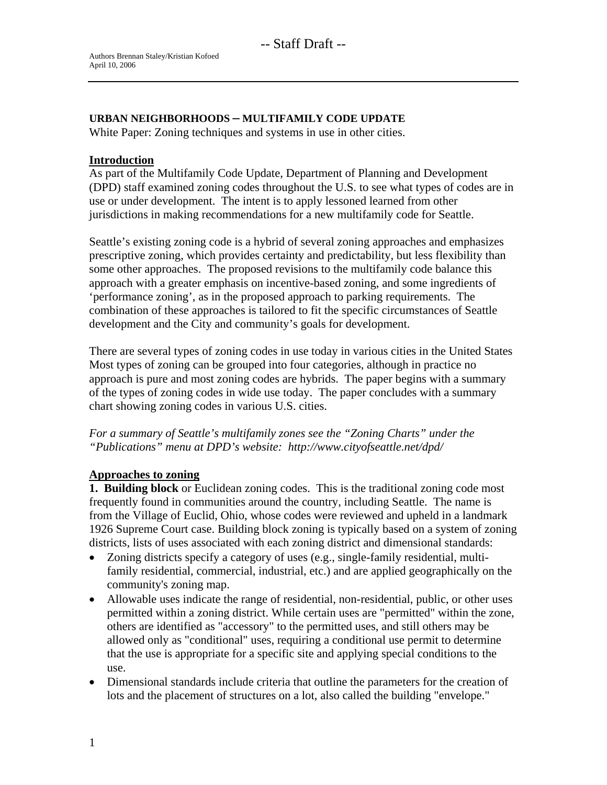### **URBAN NEIGHBORHOODS – MULTIFAMILY CODE UPDATE**

White Paper: Zoning techniques and systems in use in other cities.

### **Introduction**

As part of the Multifamily Code Update, Department of Planning and Development (DPD) staff examined zoning codes throughout the U.S. to see what types of codes are in use or under development. The intent is to apply lessoned learned from other jurisdictions in making recommendations for a new multifamily code for Seattle.

Seattle's existing zoning code is a hybrid of several zoning approaches and emphasizes prescriptive zoning, which provides certainty and predictability, but less flexibility than some other approaches. The proposed revisions to the multifamily code balance this approach with a greater emphasis on incentive-based zoning, and some ingredients of 'performance zoning', as in the proposed approach to parking requirements. The combination of these approaches is tailored to fit the specific circumstances of Seattle development and the City and community's goals for development.

There are several types of zoning codes in use today in various cities in the United States Most types of zoning can be grouped into four categories, although in practice no approach is pure and most zoning codes are hybrids. The paper begins with a summary of the types of zoning codes in wide use today. The paper concludes with a summary chart showing zoning codes in various U.S. cities.

*For a summary of Seattle's multifamily zones see the "Zoning Charts" under the "Publications" menu at DPD's website: http://www.cityofseattle.net/dpd/* 

### **Approaches to zoning**

**1. Building block** or Euclidean zoning codes. This is the traditional zoning code most frequently found in communities around the country, including Seattle. The name is from the Village of Euclid, Ohio, whose codes were reviewed and upheld in a landmark 1926 Supreme Court case. Building block zoning is typically based on a system of zoning districts, lists of uses associated with each zoning district and dimensional standards:

- Zoning districts specify a category of uses (e.g., single-family residential, multifamily residential, commercial, industrial, etc.) and are applied geographically on the community's zoning map.
- Allowable uses indicate the range of residential, non-residential, public, or other uses permitted within a zoning district. While certain uses are "permitted" within the zone, others are identified as "accessory" to the permitted uses, and still others may be allowed only as "conditional" uses, requiring a conditional use permit to determine that the use is appropriate for a specific site and applying special conditions to the use.
- Dimensional standards include criteria that outline the parameters for the creation of lots and the placement of structures on a lot, also called the building "envelope."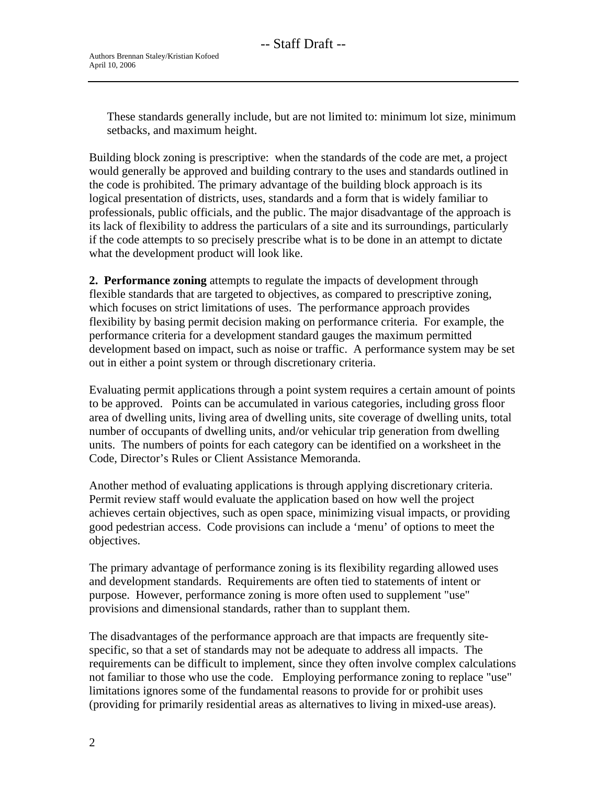These standards generally include, but are not limited to: minimum lot size, minimum setbacks, and maximum height.

Building block zoning is prescriptive: when the standards of the code are met, a project would generally be approved and building contrary to the uses and standards outlined in the code is prohibited. The primary advantage of the building block approach is its logical presentation of districts, uses, standards and a form that is widely familiar to professionals, public officials, and the public. The major disadvantage of the approach is its lack of flexibility to address the particulars of a site and its surroundings, particularly if the code attempts to so precisely prescribe what is to be done in an attempt to dictate what the development product will look like.

**2. Performance zoning** attempts to regulate the impacts of development through flexible standards that are targeted to objectives, as compared to prescriptive zoning, which focuses on strict limitations of uses. The performance approach provides flexibility by basing permit decision making on performance criteria. For example, the performance criteria for a development standard gauges the maximum permitted development based on impact, such as noise or traffic. A performance system may be set out in either a point system or through discretionary criteria.

Evaluating permit applications through a point system requires a certain amount of points to be approved. Points can be accumulated in various categories, including gross floor area of dwelling units, living area of dwelling units, site coverage of dwelling units, total number of occupants of dwelling units, and/or vehicular trip generation from dwelling units. The numbers of points for each category can be identified on a worksheet in the Code, Director's Rules or Client Assistance Memoranda.

Another method of evaluating applications is through applying discretionary criteria. Permit review staff would evaluate the application based on how well the project achieves certain objectives, such as open space, minimizing visual impacts, or providing good pedestrian access. Code provisions can include a 'menu' of options to meet the objectives.

The primary advantage of performance zoning is its flexibility regarding allowed uses and development standards. Requirements are often tied to statements of intent or purpose. However, performance zoning is more often used to supplement "use" provisions and dimensional standards, rather than to supplant them.

The disadvantages of the performance approach are that impacts are frequently sitespecific, so that a set of standards may not be adequate to address all impacts. The requirements can be difficult to implement, since they often involve complex calculations not familiar to those who use the code. Employing performance zoning to replace "use" limitations ignores some of the fundamental reasons to provide for or prohibit uses (providing for primarily residential areas as alternatives to living in mixed-use areas).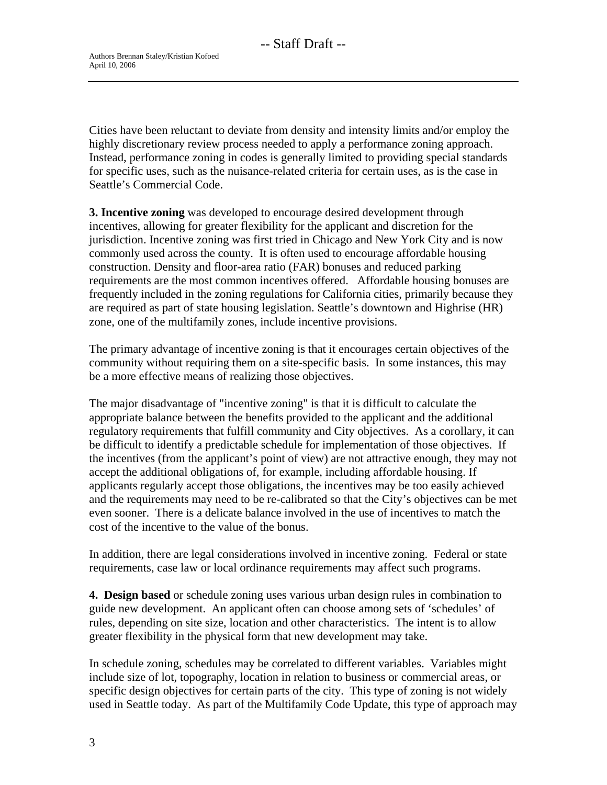Cities have been reluctant to deviate from density and intensity limits and/or employ the highly discretionary review process needed to apply a performance zoning approach. Instead, performance zoning in codes is generally limited to providing special standards for specific uses, such as the nuisance-related criteria for certain uses, as is the case in Seattle's Commercial Code.

**3. Incentive zoning** was developed to encourage desired development through incentives, allowing for greater flexibility for the applicant and discretion for the jurisdiction. Incentive zoning was first tried in Chicago and New York City and is now commonly used across the county. It is often used to encourage affordable housing construction. Density and floor-area ratio (FAR) bonuses and reduced parking requirements are the most common incentives offered. Affordable housing bonuses are frequently included in the zoning regulations for California cities, primarily because they are required as part of state housing legislation. Seattle's downtown and Highrise (HR) zone, one of the multifamily zones, include incentive provisions.

The primary advantage of incentive zoning is that it encourages certain objectives of the community without requiring them on a site-specific basis. In some instances, this may be a more effective means of realizing those objectives.

The major disadvantage of "incentive zoning" is that it is difficult to calculate the appropriate balance between the benefits provided to the applicant and the additional regulatory requirements that fulfill community and City objectives. As a corollary, it can be difficult to identify a predictable schedule for implementation of those objectives. If the incentives (from the applicant's point of view) are not attractive enough, they may not accept the additional obligations of, for example, including affordable housing. If applicants regularly accept those obligations, the incentives may be too easily achieved and the requirements may need to be re-calibrated so that the City's objectives can be met even sooner. There is a delicate balance involved in the use of incentives to match the cost of the incentive to the value of the bonus.

In addition, there are legal considerations involved in incentive zoning. Federal or state requirements, case law or local ordinance requirements may affect such programs.

**4. Design based** or schedule zoning uses various urban design rules in combination to guide new development. An applicant often can choose among sets of 'schedules' of rules, depending on site size, location and other characteristics. The intent is to allow greater flexibility in the physical form that new development may take.

In schedule zoning, schedules may be correlated to different variables. Variables might include size of lot, topography, location in relation to business or commercial areas, or specific design objectives for certain parts of the city. This type of zoning is not widely used in Seattle today. As part of the Multifamily Code Update, this type of approach may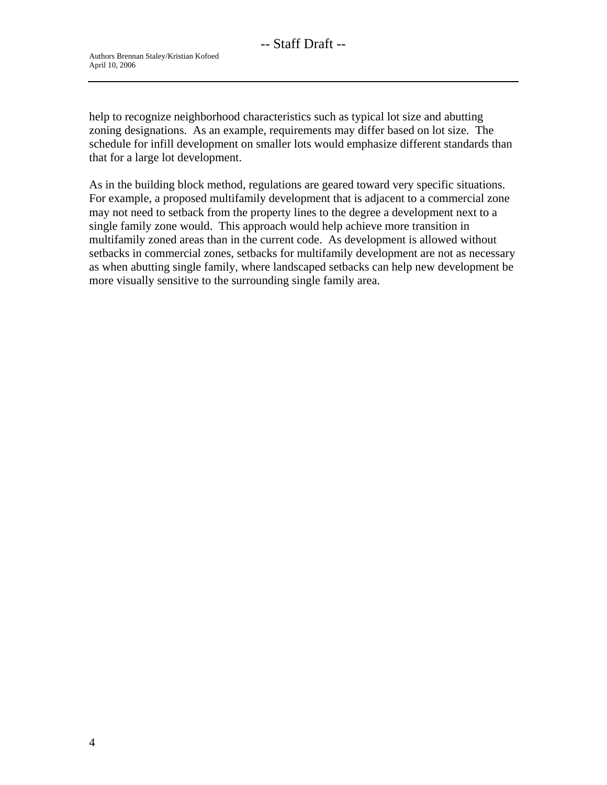help to recognize neighborhood characteristics such as typical lot size and abutting zoning designations. As an example, requirements may differ based on lot size. The schedule for infill development on smaller lots would emphasize different standards than that for a large lot development.

As in the building block method, regulations are geared toward very specific situations. For example, a proposed multifamily development that is adjacent to a commercial zone may not need to setback from the property lines to the degree a development next to a single family zone would. This approach would help achieve more transition in multifamily zoned areas than in the current code. As development is allowed without setbacks in commercial zones, setbacks for multifamily development are not as necessary as when abutting single family, where landscaped setbacks can help new development be more visually sensitive to the surrounding single family area.